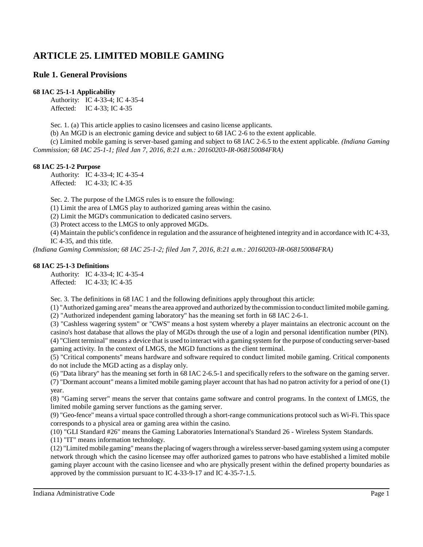# **ARTICLE 25. LIMITED MOBILE GAMING**

# **Rule 1. General Provisions**

### **68 IAC 25-1-1 Applicability**

Authority: IC 4-33-4; IC 4-35-4 Affected: IC 4-33; IC 4-35

Sec. 1. (a) This article applies to casino licensees and casino license applicants.

(b) An MGD is an electronic gaming device and subject to 68 IAC 2-6 to the extent applicable.

(c) Limited mobile gaming is server-based gaming and subject to 68 IAC 2-6.5 to the extent applicable. *(Indiana Gaming Commission; 68 IAC 25-1-1; filed Jan 7, 2016, 8:21 a.m.: 20160203-IR-068150084FRA)*

### **68 IAC 25-1-2 Purpose**

Authority: IC 4-33-4; IC 4-35-4 Affected: IC 4-33; IC 4-35

Sec. 2. The purpose of the LMGS rules is to ensure the following:

(1) Limit the area of LMGS play to authorized gaming areas within the casino.

(2) Limit the MGD's communication to dedicated casino servers.

(3) Protect access to the LMGS to only approved MGDs.

(4) Maintain the public's confidence in regulation and the assurance of heightened integrity and in accordance with IC 4-33, IC 4-35, and this title.

*(Indiana Gaming Commission; 68 IAC 25-1-2; filed Jan 7, 2016, 8:21 a.m.: 20160203-IR-068150084FRA)*

### **68 IAC 25-1-3 Definitions**

Authority: IC 4-33-4; IC 4-35-4 Affected: IC 4-33; IC 4-35

Sec. 3. The definitions in 68 IAC 1 and the following definitions apply throughout this article:

(1) "Authorized gaming area" meansthe area approved and authorized bythe commission toconduct limited mobile gaming.

(2) "Authorized independent gaming laboratory" has the meaning set forth in 68 IAC 2-6-1.

(3) "Cashless wagering system" or "CWS" means a host system whereby a player maintains an electronic account on the casino's host database that allows the play of MGDs through the use of a login and personal identification number (PIN). (4) "Client terminal" means a device that is used to interact with a gaming system for the purpose of conducting server-based gaming activity. In the context of LMGS, the MGD functions as the client terminal.

(5) "Critical components" means hardware and software required to conduct limited mobile gaming. Critical components do not include the MGD acting as a display only.

(6) "Data library" has the meaning set forth in 68 IAC 2-6.5-1 and specifically refers to the software on the gaming server. (7) "Dormant account" means a limited mobile gaming player account that has had no patron activity for a period of one (1) year.

(8) "Gaming server" means the server that contains game software and control programs. In the context of LMGS, the limited mobile gaming server functions as the gaming server.

(9) "Geo-fence" means a virtual space controlled through a short-range communications protocol such as Wi-Fi. Thisspace corresponds to a physical area or gaming area within the casino.

(10) "GLI Standard #26" means the Gaming Laboratories International's Standard 26 - Wireless System Standards.

(11) "IT" means information technology.

(12) "Limited mobile gaming" meansthe placing ofwagersthrough a wirelessserver-based gaming system using a computer network through which the casino licensee may offer authorized games to patrons who have established a limited mobile gaming player account with the casino licensee and who are physically present within the defined property boundaries as approved by the commission pursuant to IC 4-33-9-17 and IC 4-35-7-1.5.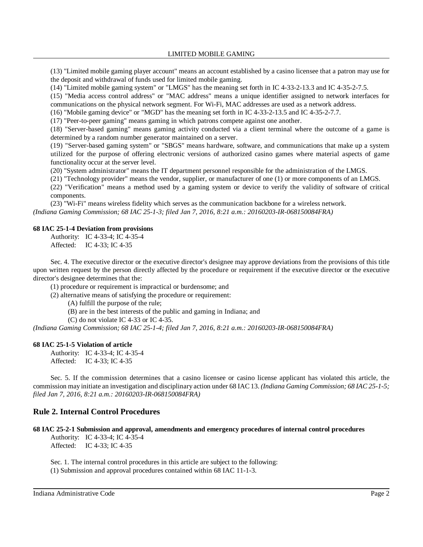(13) "Limited mobile gaming player account" means an account established by a casino licensee that a patron may use for the deposit and withdrawal of funds used for limited mobile gaming.

(14) "Limited mobile gaming system" or "LMGS" has the meaning set forth in IC 4-33-2-13.3 and IC 4-35-2-7.5.

(15) "Media access control address" or "MAC address" means a unique identifier assigned to network interfaces for communications on the physical network segment. For Wi-Fi, MAC addresses are used as a network address.

(16) "Mobile gaming device" or "MGD" has the meaning set forth in IC 4-33-2-13.5 and IC 4-35-2-7.7.

(17) "Peer-to-peer gaming" means gaming in which patrons compete against one another.

(18) "Server-based gaming" means gaming activity conducted via a client terminal where the outcome of a game is determined by a random number generator maintained on a server.

(19) "Server-based gaming system" or "SBGS" means hardware, software, and communications that make up a system utilized for the purpose of offering electronic versions of authorized casino games where material aspects of game functionality occur at the server level.

(20) "System administrator" means the IT department personnel responsible for the administration of the LMGS.

(21) "Technology provider" means the vendor, supplier, or manufacturer of one (1) or more components of an LMGS.

(22) "Verification" means a method used by a gaming system or device to verify the validity of software of critical components.

(23) "Wi-Fi" means wireless fidelity which serves as the communication backbone for a wireless network. *(Indiana Gaming Commission; 68 IAC 25-1-3; filed Jan 7, 2016, 8:21 a.m.: 20160203-IR-068150084FRA)*

#### **68 IAC 25-1-4 Deviation from provisions**

Authority: IC 4-33-4; IC 4-35-4 Affected: IC 4-33; IC 4-35

Sec. 4. The executive director or the executive director's designee may approve deviations from the provisions of this title upon written request by the person directly affected by the procedure or requirement if the executive director or the executive director's designee determines that the:

(1) procedure or requirement is impractical or burdensome; and

(2) alternative means of satisfying the procedure or requirement:

(A) fulfill the purpose of the rule;

(B) are in the best interests of the public and gaming in Indiana; and

(C) do not violate IC 4-33 or IC 4-35.

*(Indiana Gaming Commission; 68 IAC 25-1-4; filed Jan 7, 2016, 8:21 a.m.: 20160203-IR-068150084FRA)*

### **68 IAC 25-1-5 Violation of article**

Authority: IC 4-33-4; IC 4-35-4 Affected: IC 4-33; IC 4-35

Sec. 5. If the commission determines that a casino licensee or casino license applicant has violated this article, the commission may initiate an investigation and disciplinary action under 68 IAC 13. *(Indiana Gaming Commission; 68 IAC 25-1-5; filed Jan 7, 2016, 8:21 a.m.: 20160203-IR-068150084FRA)*

# **Rule 2. Internal Control Procedures**

### **68 IAC 25-2-1 Submission and approval, amendments and emergency procedures of internal control procedures**

Authority: IC 4-33-4; IC 4-35-4 Affected: IC 4-33; IC 4-35

Sec. 1. The internal control procedures in this article are subject to the following: (1) Submission and approval procedures contained within 68 IAC 11-1-3.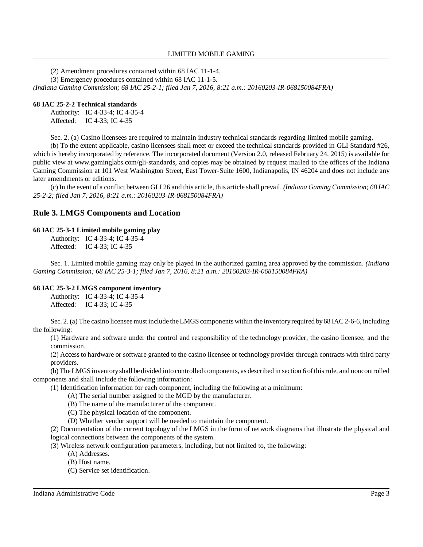(2) Amendment procedures contained within 68 IAC 11-1-4.

(3) Emergency procedures contained within 68 IAC 11-1-5.

*(Indiana Gaming Commission; 68 IAC 25-2-1; filed Jan 7, 2016, 8:21 a.m.: 20160203-IR-068150084FRA)*

# **68 IAC 25-2-2 Technical standards**

Authority: IC 4-33-4; IC 4-35-4 Affected: IC 4-33; IC 4-35

Sec. 2. (a) Casino licensees are required to maintain industry technical standards regarding limited mobile gaming.

(b) To the extent applicable, casino licensees shall meet or exceed the technical standards provided in GLI Standard #26, which is hereby incorporated by reference. The incorporated document (Version 2.0, released February 24, 2015) is available for public view at www.gaminglabs.com/gli-standards, and copies may be obtained by request mailed to the offices of the Indiana Gaming Commission at 101 West Washington Street, East Tower-Suite 1600, Indianapolis, IN 46204 and does not include any later amendments or editions.

(c) In the event of a conflict between GLI 26 and this article, this article shall prevail. *(Indiana Gaming Commission; 68 IAC 25-2-2; filed Jan 7, 2016, 8:21 a.m.: 20160203-IR-068150084FRA)*

# **Rule 3. LMGS Components and Location**

# **68 IAC 25-3-1 Limited mobile gaming play**

Authority: IC 4-33-4; IC 4-35-4 Affected: IC 4-33; IC 4-35

Sec. 1. Limited mobile gaming may only be played in the authorized gaming area approved by the commission. *(Indiana Gaming Commission; 68 IAC 25-3-1; filed Jan 7, 2016, 8:21 a.m.: 20160203-IR-068150084FRA)*

# **68 IAC 25-3-2 LMGS component inventory**

Authority: IC 4-33-4; IC 4-35-4 Affected: IC 4-33; IC 4-35

Sec. 2. (a) The casino licensee must include the LMGS components within the inventory required by 68 IAC 2-6-6, including the following:

(1) Hardware and software under the control and responsibility of the technology provider, the casino licensee, and the commission.

(2) Access to hardware or software granted to the casino licensee or technology provider through contracts with third party providers.

(b) TheLMGSinventoryshall be divided into controlled components, as described in section 6 ofthisrule, and noncontrolled components and shall include the following information:

(1) Identification information for each component, including the following at a minimum:

- (A) The serial number assigned to the MGD by the manufacturer.
	- (B) The name of the manufacturer of the component.
	- (C) The physical location of the component.
- (D) Whether vendor support will be needed to maintain the component.

(2) Documentation of the current topology of the LMGS in the form of network diagrams that illustrate the physical and logical connections between the components of the system.

(3) Wireless network configuration parameters, including, but not limited to, the following:

- (A) Addresses.
- (B) Host name.
- (C) Service set identification.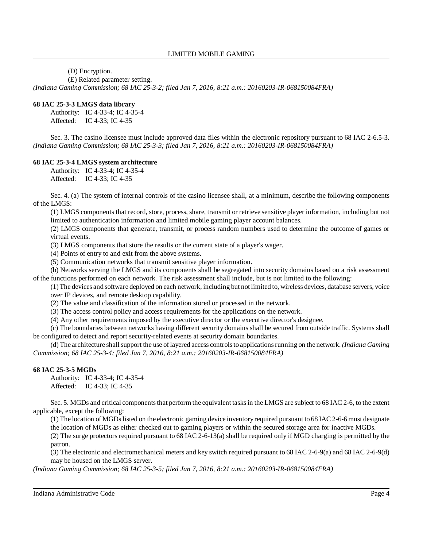(D) Encryption.

(E) Related parameter setting.

*(Indiana Gaming Commission; 68 IAC 25-3-2; filed Jan 7, 2016, 8:21 a.m.: 20160203-IR-068150084FRA)*

### **68 IAC 25-3-3 LMGS data library**

Authority: IC 4-33-4; IC 4-35-4 Affected: IC 4-33; IC 4-35

Sec. 3. The casino licensee must include approved data files within the electronic repository pursuant to 68 IAC 2-6.5-3. *(Indiana Gaming Commission; 68 IAC 25-3-3; filed Jan 7, 2016, 8:21 a.m.: 20160203-IR-068150084FRA)*

### **68 IAC 25-3-4 LMGS system architecture**

Authority: IC 4-33-4; IC 4-35-4 Affected: IC 4-33; IC 4-35

Sec. 4. (a) The system of internal controls of the casino licensee shall, at a minimum, describe the following components of the LMGS:

(1) LMGS components that record, store, process, share, transmit or retrieve sensitive player information, including but not limited to authentication information and limited mobile gaming player account balances.

(2) LMGS components that generate, transmit, or process random numbers used to determine the outcome of games or virtual events.

(3) LMGS components that store the results or the current state of a player's wager.

(4) Points of entry to and exit from the above systems.

(5) Communication networks that transmit sensitive player information.

(b) Networks serving the LMGS and its components shall be segregated into security domains based on a risk assessment of the functions performed on each network. The risk assessment shall include, but is not limited to the following:

(1)The devices and software deployed on each network, including but not limited to, wireless devices, database servers, voice over IP devices, and remote desktop capability.

(2) The value and classification of the information stored or processed in the network.

(3) The access control policy and access requirements for the applications on the network.

(4) Any other requirements imposed by the executive director or the executive director's designee.

(c) The boundaries between networks having different security domains shall be secured from outside traffic. Systems shall be configured to detect and report security-related events at security domain boundaries.

(d) The architecture shallsupport the use oflayered access controlsto applicationsrunning on the network. *(Indiana Gaming Commission; 68 IAC 25-3-4; filed Jan 7, 2016, 8:21 a.m.: 20160203-IR-068150084FRA)*

### **68 IAC 25-3-5 MGDs**

Authority: IC 4-33-4; IC 4-35-4 Affected: IC 4-33; IC 4-35

Sec. 5. MGDs and critical components that perform the equivalent tasks in the LMGS are subject to 68 IAC 2-6, to the extent applicable, except the following:

(1) The location of MGDslisted on the electronic gaming device inventoryrequired pursuant to 68 IAC 2-6-6 must designate the location of MGDs as either checked out to gaming players or within the secured storage area for inactive MGDs.

(2) The surge protectors required pursuant to 68 IAC 2-6-13(a) shall be required only if MGD charging is permitted by the patron.

(3) The electronic and electromechanical meters and key switch required pursuant to 68 IAC 2-6-9(a) and 68 IAC 2-6-9(d) may be housed on the LMGS server.

*(Indiana Gaming Commission; 68 IAC 25-3-5; filed Jan 7, 2016, 8:21 a.m.: 20160203-IR-068150084FRA)*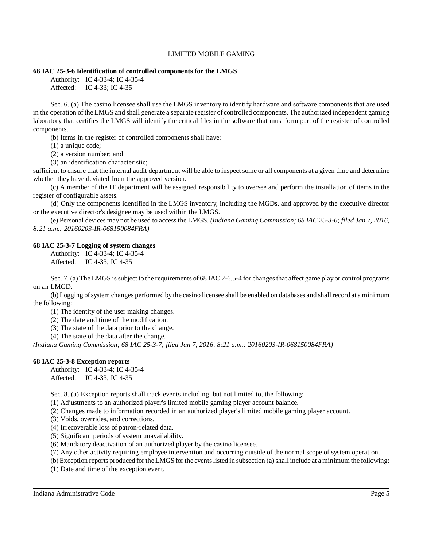### **68 IAC 25-3-6 Identification of controlled components for the LMGS**

Authority: IC 4-33-4; IC 4-35-4 Affected: IC 4-33; IC 4-35

Sec. 6. (a) The casino licensee shall use the LMGS inventory to identify hardware and software components that are used in the operation of the LMGS and shall generate a separate register of controlled components. The authorized independent gaming laboratory that certifies the LMGS will identify the critical files in the software that must form part of the register of controlled components.

(b) Items in the register of controlled components shall have:

(1) a unique code;

(2) a version number; and

(3) an identification characteristic;

sufficient to ensure that the internal audit department will be able to inspect some or all components at a given time and determine whether they have deviated from the approved version.

(c) A member of the IT department will be assigned responsibility to oversee and perform the installation of items in the register of configurable assets.

(d) Only the components identified in the LMGS inventory, including the MGDs, and approved by the executive director or the executive director's designee may be used within the LMGS.

(e) Personal devices may not be used to access the LMGS. *(Indiana Gaming Commission; 68 IAC 25-3-6; filed Jan 7, 2016, 8:21 a.m.: 20160203-IR-068150084FRA)*

### **68 IAC 25-3-7 Logging of system changes**

Authority: IC 4-33-4; IC 4-35-4 Affected: IC 4-33; IC 4-35

Sec. 7. (a) The LMGS is subject to the requirements of 68 IAC 2-6.5-4 for changes that affect game play or control programs on an LMGD.

(b) Logging ofsystem changes performed by the casino licensee shall be enabled on databases and shall record at a minimum the following:

(1) The identity of the user making changes.

(2) The date and time of the modification.

(3) The state of the data prior to the change.

(4) The state of the data after the change.

*(Indiana Gaming Commission; 68 IAC 25-3-7; filed Jan 7, 2016, 8:21 a.m.: 20160203-IR-068150084FRA)*

# **68 IAC 25-3-8 Exception reports**

Authority: IC 4-33-4; IC 4-35-4 Affected: IC 4-33; IC 4-35

Sec. 8. (a) Exception reports shall track events including, but not limited to, the following:

(1) Adjustments to an authorized player's limited mobile gaming player account balance.

(2) Changes made to information recorded in an authorized player's limited mobile gaming player account.

(3) Voids, overrides, and corrections.

(4) Irrecoverable loss of patron-related data.

(5) Significant periods of system unavailability.

(6) Mandatory deactivation of an authorized player by the casino licensee.

(7) Any other activity requiring employee intervention and occurring outside of the normal scope of system operation.

(b) Exception reports produced for the LMGS for the events listed in subsection (a) shall include at a minimum the following:

(1) Date and time of the exception event.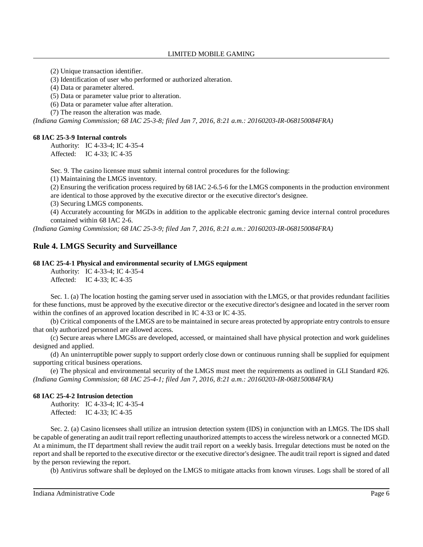(2) Unique transaction identifier.

(3) Identification of user who performed or authorized alteration.

(4) Data or parameter altered.

(5) Data or parameter value prior to alteration.

(6) Data or parameter value after alteration.

(7) The reason the alteration was made.

*(Indiana Gaming Commission; 68 IAC 25-3-8; filed Jan 7, 2016, 8:21 a.m.: 20160203-IR-068150084FRA)*

### **68 IAC 25-3-9 Internal controls**

Authority: IC 4-33-4; IC 4-35-4 Affected: IC 4-33; IC 4-35

Sec. 9. The casino licensee must submit internal control procedures for the following:

(1) Maintaining the LMGS inventory.

(2) Ensuring the verification process required by 68 IAC 2-6.5-6 for the LMGS components in the production environment are identical to those approved by the executive director or the executive director's designee.

(3) Securing LMGS components.

(4) Accurately accounting for MGDs in addition to the applicable electronic gaming device internal control procedures contained within 68 IAC 2-6.

*(Indiana Gaming Commission; 68 IAC 25-3-9; filed Jan 7, 2016, 8:21 a.m.: 20160203-IR-068150084FRA)*

# **Rule 4. LMGS Security and Surveillance**

#### **68 IAC 25-4-1 Physical and environmental security of LMGS equipment**

Authority: IC 4-33-4; IC 4-35-4 Affected: IC 4-33; IC 4-35

Sec. 1. (a) The location hosting the gaming server used in association with the LMGS, or that provides redundant facilities for these functions, must be approved by the executive director or the executive director's designee and located in the server room within the confines of an approved location described in IC 4-33 or IC 4-35.

(b) Critical components of the LMGS are to be maintained in secure areas protected by appropriate entry controls to ensure that only authorized personnel are allowed access.

(c) Secure areas where LMGSs are developed, accessed, or maintained shall have physical protection and work guidelines designed and applied.

(d) An uninterruptible power supply to support orderly close down or continuous running shall be supplied for equipment supporting critical business operations.

(e) The physical and environmental security of the LMGS must meet the requirements as outlined in GLI Standard #26. *(Indiana Gaming Commission; 68 IAC 25-4-1; filed Jan 7, 2016, 8:21 a.m.: 20160203-IR-068150084FRA)*

#### **68 IAC 25-4-2 Intrusion detection**

Authority: IC 4-33-4; IC 4-35-4 Affected: IC 4-33; IC 4-35

Sec. 2. (a) Casino licensees shall utilize an intrusion detection system (IDS) in conjunction with an LMGS. The IDS shall be capable of generating an audit trail report reflecting unauthorized attempts to access the wireless network or a connected MGD. At a minimum, the IT department shall review the audit trail report on a weekly basis. Irregular detections must be noted on the report and shall be reported to the executive director or the executive director's designee. The audit trail report is signed and dated by the person reviewing the report.

(b) Antivirus software shall be deployed on the LMGS to mitigate attacks from known viruses. Logs shall be stored of all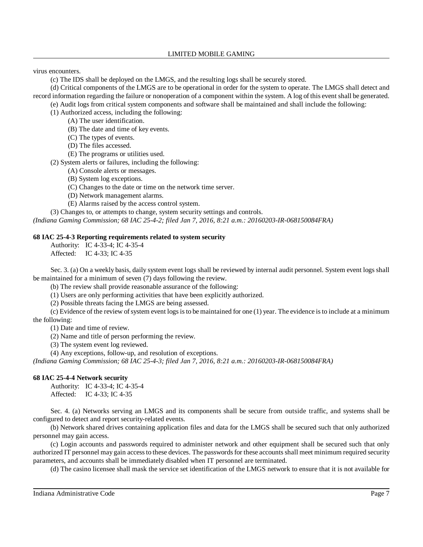virus encounters.

(c) The IDS shall be deployed on the LMGS, and the resulting logs shall be securely stored.

(d) Critical components of the LMGS are to be operational in order for the system to operate. The LMGS shall detect and record information regarding the failure or nonoperation of a component within the system. A log of this event shall be generated.

(e) Audit logs from critical system components and software shall be maintained and shall include the following:

(1) Authorized access, including the following:

(A) The user identification.

(B) The date and time of key events.

(C) The types of events.

(D) The files accessed.

(E) The programs or utilities used.

(2) System alerts or failures, including the following:

(A) Console alerts or messages.

(B) System log exceptions.

(C) Changes to the date or time on the network time server.

(D) Network management alarms.

(E) Alarms raised by the access control system.

(3) Changes to, or attempts to change, system security settings and controls.

*(Indiana Gaming Commission; 68 IAC 25-4-2; filed Jan 7, 2016, 8:21 a.m.: 20160203-IR-068150084FRA)*

# **68 IAC 25-4-3 Reporting requirements related to system security**

Authority: IC 4-33-4; IC 4-35-4

Affected: IC 4-33; IC 4-35

Sec. 3. (a) On a weekly basis, daily system event logs shall be reviewed by internal audit personnel. System event logs shall be maintained for a minimum of seven (7) days following the review.

(b) The review shall provide reasonable assurance of the following:

(1) Users are only performing activities that have been explicitly authorized.

(2) Possible threats facing the LMGS are being assessed.

(c) Evidence of the review ofsystem event logsisto be maintained for one (1) year. The evidence isto include at a minimum the following:

(1) Date and time of review.

(2) Name and title of person performing the review.

(3) The system event log reviewed.

(4) Any exceptions, follow-up, and resolution of exceptions.

*(Indiana Gaming Commission; 68 IAC 25-4-3; filed Jan 7, 2016, 8:21 a.m.: 20160203-IR-068150084FRA)*

### **68 IAC 25-4-4 Network security**

Authority: IC 4-33-4; IC 4-35-4 Affected: IC 4-33; IC 4-35

Sec. 4. (a) Networks serving an LMGS and its components shall be secure from outside traffic, and systems shall be configured to detect and report security-related events.

(b) Network shared drives containing application files and data for the LMGS shall be secured such that only authorized personnel may gain access.

(c) Login accounts and passwords required to administer network and other equipment shall be secured such that only authorized IT personnel may gain access to these devices. The passwords for these accounts shall meet minimum required security parameters, and accounts shall be immediately disabled when IT personnel are terminated.

(d) The casino licensee shall mask the service set identification of the LMGS network to ensure that it is not available for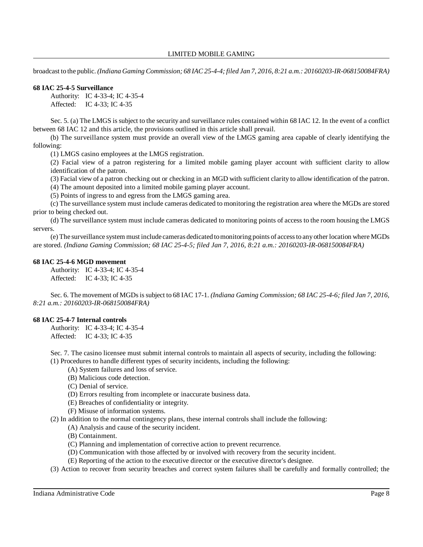broadcast to the public. *(Indiana Gaming Commission; 68 IAC 25-4-4; filed Jan 7, 2016, 8:21 a.m.: 20160203-IR-068150084FRA)*

### **68 IAC 25-4-5 Surveillance**

Authority: IC 4-33-4; IC 4-35-4 Affected: IC 4-33; IC 4-35

Sec. 5. (a) The LMGS is subject to the security and surveillance rules contained within 68 IAC 12. In the event of a conflict between 68 IAC 12 and this article, the provisions outlined in this article shall prevail.

(b) The surveillance system must provide an overall view of the LMGS gaming area capable of clearly identifying the following:

(1) LMGS casino employees at the LMGS registration.

(2) Facial view of a patron registering for a limited mobile gaming player account with sufficient clarity to allow identification of the patron.

(3) Facial view of a patron checking out or checking in an MGD with sufficient clarity to allow identification of the patron.

(4) The amount deposited into a limited mobile gaming player account.

(5) Points of ingress to and egress from the LMGS gaming area.

(c) The surveillance system must include cameras dedicated to monitoring the registration area where the MGDs are stored prior to being checked out.

(d) The surveillance system must include cameras dedicated to monitoring points of access to the room housing the LMGS servers.

(e) The surveillance system must include cameras dedicated tomonitoring points of accessto anyother location where MGDs are stored. *(Indiana Gaming Commission; 68 IAC 25-4-5; filed Jan 7, 2016, 8:21 a.m.: 20160203-IR-068150084FRA)*

### **68 IAC 25-4-6 MGD movement**

Authority: IC 4-33-4; IC 4-35-4 Affected: IC 4-33; IC 4-35

Sec. 6. The movement of MGDsissubject to 68 IAC 17-1. *(Indiana Gaming Commission; 68 IAC 25-4-6; filed Jan 7, 2016, 8:21 a.m.: 20160203-IR-068150084FRA)*

### **68 IAC 25-4-7 Internal controls**

Authority: IC 4-33-4; IC 4-35-4 Affected: IC 4-33; IC 4-35

Sec. 7. The casino licensee must submit internal controls to maintain all aspects of security, including the following:

(1) Procedures to handle different types of security incidents, including the following:

- (A) System failures and loss of service.
- (B) Malicious code detection.
- (C) Denial of service.
- (D) Errors resulting from incomplete or inaccurate business data.
- (E) Breaches of confidentiality or integrity.
- (F) Misuse of information systems.
- (2) In addition to the normal contingency plans, these internal controls shall include the following:
	- (A) Analysis and cause of the security incident.
		- (B) Containment.
		- (C) Planning and implementation of corrective action to prevent recurrence.
		- (D) Communication with those affected by or involved with recovery from the security incident.
		- (E) Reporting of the action to the executive director or the executive director's designee.

(3) Action to recover from security breaches and correct system failures shall be carefully and formally controlled; the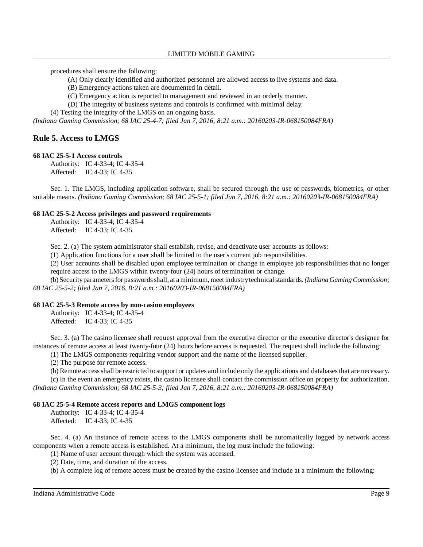procedures shall ensure the following:

- (A) Only clearly identified and authorized personnel are allowed access to live systems and data.
- (B) Emergency actions taken are documented in detail.
- (C) Emergency action is reported to management and reviewed in an orderly manner.
- (D) The integrity of business systems and controls is confirmed with minimal delay.

(4) Testing the integrity of the LMGS on an ongoing basis.

*(Indiana Gaming Commission; 68 IAC 25-4-7; filed Jan 7, 2016, 8:21 a.m.: 20160203-IR-068150084FRA)*

# **Rule 5. Access to LMGS**

### **68 IAC 25-5-1 Access controls**

Authority: IC 4-33-4; IC 4-35-4 Affected: IC 4-33; IC 4-35

Sec. 1. The LMGS, including application software, shall be secured through the use of passwords, biometrics, or other suitable means. *(Indiana Gaming Commission; 68 IAC 25-5-1; filed Jan 7, 2016, 8:21 a.m.: 20160203-IR-068150084FRA)*

### **68 IAC 25-5-2 Access privileges and password requirements**

Authority: IC 4-33-4; IC 4-35-4 Affected: IC 4-33; IC 4-35

Sec. 2. (a) The system administrator shall establish, revise, and deactivate user accounts as follows:

(1) Application functions for a user shall be limited to the user's current job responsibilities.

(2) User accounts shall be disabled upon employee termination or change in employee job responsibilities that no longer require access to the LMGS within twenty-four (24) hours of termination or change.

(b) Securityparametersfor passwordsshall, at aminimum, meet industrytechnicalstandards.*(Indiana GamingCommission; 68 IAC 25-5-2; filed Jan 7, 2016, 8:21 a.m.: 20160203-IR-068150084FRA)*

#### **68 IAC 25-5-3 Remote access by non-casino employees**

Authority: IC 4-33-4; IC 4-35-4 Affected: IC 4-33; IC 4-35

Sec. 3. (a) The casino licensee shall request approval from the executive director or the executive director's designee for instances of remote access at least twenty-four (24) hours before access is requested. The request shall include the following:

(1) The LMGS components requiring vendor support and the name of the licensed supplier.

(2) The purpose for remote access.

(b) Remote accessshall be restricted to support or updates and include only the applications and databasesthat are necessary.

(c) In the event an emergency exists, the casino licensee shall contact the commission office on property for authorization. *(Indiana Gaming Commission; 68 IAC 25-5-3; filed Jan 7, 2016, 8:21 a.m.: 20160203-IR-068150084FRA)*

#### **68 IAC 25-5-4 Remote access reports and LMGS component logs**

Authority: IC 4-33-4; IC 4-35-4 Affected: IC 4-33; IC 4-35

Sec. 4. (a) An instance of remote access to the LMGS components shall be automatically logged by network access components when a remote access is established. At a minimum, the log must include the following:

(1) Name of user account through which the system was accessed.

(2) Date, time, and duration of the access.

(b) A complete log of remote access must be created by the casino licensee and include at a minimum the following: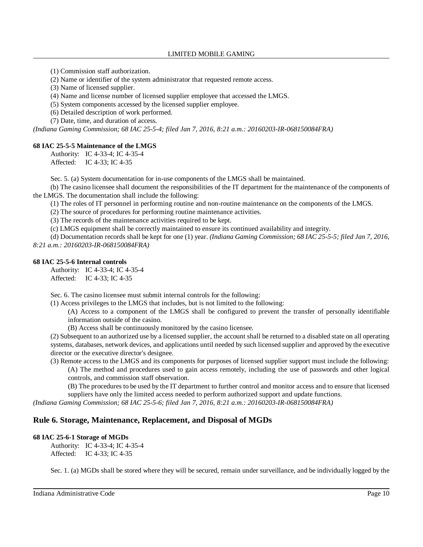(1) Commission staff authorization.

(2) Name or identifier of the system administrator that requested remote access.

(3) Name of licensed supplier.

(4) Name and license number of licensed supplier employee that accessed the LMGS.

(5) System components accessed by the licensed supplier employee.

(6) Detailed description of work performed.

(7) Date, time, and duration of access.

*(Indiana Gaming Commission; 68 IAC 25-5-4; filed Jan 7, 2016, 8:21 a.m.: 20160203-IR-068150084FRA)*

### **68 IAC 25-5-5 Maintenance of the LMGS**

Authority: IC 4-33-4; IC 4-35-4 Affected: IC 4-33; IC 4-35

Sec. 5. (a) System documentation for in-use components of the LMGS shall be maintained.

(b) The casino licensee shall document the responsibilities of the IT department for the maintenance of the components of the LMGS. The documentation shall include the following:

(1) The roles of IT personnel in performing routine and non-routine maintenance on the components of the LMGS.

(2) The source of procedures for performing routine maintenance activities.

(3) The records of the maintenance activities required to be kept.

(c) LMGS equipment shall be correctly maintained to ensure its continued availability and integrity.

(d) Documentation records shall be kept for one (1) year. *(Indiana Gaming Commission; 68 IAC 25-5-5; filed Jan 7, 2016, 8:21 a.m.: 20160203-IR-068150084FRA)*

### **68 IAC 25-5-6 Internal controls**

Authority: IC 4-33-4; IC 4-35-4 Affected: IC 4-33; IC 4-35

Sec. 6. The casino licensee must submit internal controls for the following:

(1) Access privileges to the LMGS that includes, but is not limited to the following:

(A) Access to a component of the LMGS shall be configured to prevent the transfer of personally identifiable information outside of the casino.

(B) Access shall be continuously monitored by the casino licensee.

(2) Subsequent to an authorized use by a licensed supplier, the account shall be returned to a disabled state on all operating systems, databases, network devices, and applications until needed by such licensed supplier and approved by the executive director or the executive director's designee.

(3) Remote access to the LMGS and its components for purposes of licensed supplier support must include the following:

(A) The method and procedures used to gain access remotely, including the use of passwords and other logical controls, and commission staff observation.

(B) The procedures to be used by the IT department to further control and monitor access and to ensure that licensed suppliers have only the limited access needed to perform authorized support and update functions.

*(Indiana Gaming Commission; 68 IAC 25-5-6; filed Jan 7, 2016, 8:21 a.m.: 20160203-IR-068150084FRA)*

# **Rule 6. Storage, Maintenance, Replacement, and Disposal of MGDs**

### **68 IAC 25-6-1 Storage of MGDs**

Authority: IC 4-33-4; IC 4-35-4 Affected: IC 4-33; IC 4-35

Sec. 1. (a) MGDs shall be stored where they will be secured, remain under surveillance, and be individually logged by the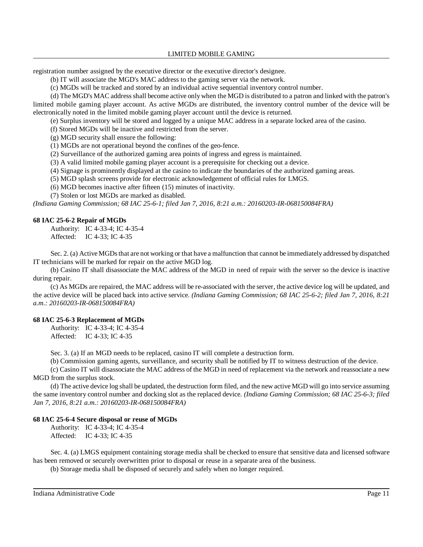registration number assigned by the executive director or the executive director's designee.

(b) IT will associate the MGD's MAC address to the gaming server via the network.

(c) MGDs will be tracked and stored by an individual active sequential inventory control number.

(d) The MGD's MAC addressshall become active onlywhen the MGD is distributed to a patron and linked with the patron's limited mobile gaming player account. As active MGDs are distributed, the inventory control number of the device will be electronically noted in the limited mobile gaming player account until the device is returned.

(e) Surplus inventory will be stored and logged by a unique MAC address in a separate locked area of the casino.

(f) Stored MGDs will be inactive and restricted from the server.

(g) MGD security shall ensure the following:

(1) MGDs are not operational beyond the confines of the geo-fence.

(2) Surveillance of the authorized gaming area points of ingress and egress is maintained.

(3) A valid limited mobile gaming player account is a prerequisite for checking out a device.

(4) Signage is prominently displayed at the casino to indicate the boundaries of the authorized gaming areas.

(5) MGD splash screens provide for electronic acknowledgement of official rules for LMGS.

(6) MGD becomes inactive after fifteen (15) minutes of inactivity.

(7) Stolen or lost MGDs are marked as disabled.

*(Indiana Gaming Commission; 68 IAC 25-6-1; filed Jan 7, 2016, 8:21 a.m.: 20160203-IR-068150084FRA)*

#### **68 IAC 25-6-2 Repair of MGDs**

Authority: IC 4-33-4; IC 4-35-4 Affected: IC 4-33; IC 4-35

Sec. 2. (a) Active MGDs that are not working or that have a malfunction that cannot be immediately addressed by dispatched IT technicians will be marked for repair on the active MGD log.

(b) Casino IT shall disassociate the MAC address of the MGD in need of repair with the server so the device is inactive during repair.

(c) As MGDs are repaired, the MAC address will be re-associated with the server, the active device log will be updated, and the active device will be placed back into active service. *(Indiana Gaming Commission; 68 IAC 25-6-2; filed Jan 7, 2016, 8:21 a.m.: 20160203-IR-068150084FRA)*

#### **68 IAC 25-6-3 Replacement of MGDs**

Authority: IC 4-33-4; IC 4-35-4 Affected: IC 4-33; IC 4-35

Sec. 3. (a) If an MGD needs to be replaced, casino IT will complete a destruction form.

(b) Commission gaming agents, surveillance, and security shall be notified by IT to witness destruction of the device.

(c) Casino IT will disassociate the MAC address of the MGD in need of replacement via the network and reassociate a new MGD from the surplus stock.

(d) The active device log shall be updated, the destruction form filed, and the new active MGD will go into service assuming the same inventory control number and docking slot as the replaced device. *(Indiana Gaming Commission; 68 IAC 25-6-3; filed Jan 7, 2016, 8:21 a.m.: 20160203-IR-068150084FRA)*

### **68 IAC 25-6-4 Secure disposal or reuse of MGDs**

Authority: IC 4-33-4; IC 4-35-4 Affected: IC 4-33; IC 4-35

Sec. 4. (a) LMGS equipment containing storage media shall be checked to ensure that sensitive data and licensed software has been removed or securely overwritten prior to disposal or reuse in a separate area of the business.

(b) Storage media shall be disposed of securely and safely when no longer required.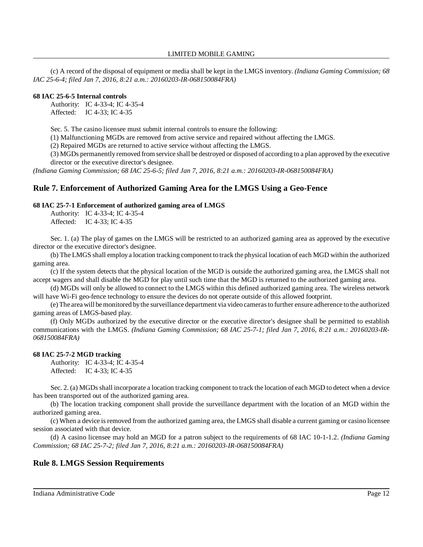(c) A record of the disposal of equipment or media shall be kept in the LMGS inventory. *(Indiana Gaming Commission; 68 IAC 25-6-4; filed Jan 7, 2016, 8:21 a.m.: 20160203-IR-068150084FRA)*

### **68 IAC 25-6-5 Internal controls**

Authority: IC 4-33-4; IC 4-35-4 Affected: IC 4-33; IC 4-35

Sec. 5. The casino licensee must submit internal controls to ensure the following:

(1) Malfunctioning MGDs are removed from active service and repaired without affecting the LMGS.

(2) Repaired MGDs are returned to active service without affecting the LMGS.

(3) MGDs permanently removed from service shall be destroyed or disposed of according to a plan approved by the executive director or the executive director's designee.

*(Indiana Gaming Commission; 68 IAC 25-6-5; filed Jan 7, 2016, 8:21 a.m.: 20160203-IR-068150084FRA)*

# **Rule 7. Enforcement of Authorized Gaming Area for the LMGS Using a Geo-Fence**

### **68 IAC 25-7-1 Enforcement of authorized gaming area of LMGS**

Authority: IC 4-33-4; IC 4-35-4 Affected: IC 4-33; IC 4-35

Sec. 1. (a) The play of games on the LMGS will be restricted to an authorized gaming area as approved by the executive director or the executive director's designee.

(b) The LMGS shall employa location tracking component to track the physical location of each MGD within the authorized gaming area.

(c) If the system detects that the physical location of the MGD is outside the authorized gaming area, the LMGS shall not accept wagers and shall disable the MGD for play until such time that the MGD is returned to the authorized gaming area.

(d) MGDs will only be allowed to connect to the LMGS within this defined authorized gaming area. The wireless network will have Wi-Fi geo-fence technology to ensure the devices do not operate outside of this allowed footprint.

(e)The area will bemonitored bythe surveillance department via video camerasto further ensure adherence to the authorized gaming areas of LMGS-based play.

(f) Only MGDs authorized by the executive director or the executive director's designee shall be permitted to establish communications with the LMGS. *(Indiana Gaming Commission; 68 IAC 25-7-1; filed Jan 7, 2016, 8:21 a.m.: 20160203-IR-068150084FRA)*

### **68 IAC 25-7-2 MGD tracking**

Authority: IC 4-33-4; IC 4-35-4 Affected: IC 4-33; IC 4-35

Sec. 2. (a) MGDs shall incorporate a location tracking component to track the location of each MGD to detect when a device has been transported out of the authorized gaming area.

(b) The location tracking component shall provide the surveillance department with the location of an MGD within the authorized gaming area.

(c) When a device isremoved from the authorized gaming area, the LMGS shall disable a current gaming or casino licensee session associated with that device.

(d) A casino licensee may hold an MGD for a patron subject to the requirements of 68 IAC 10-1-1.2. *(Indiana Gaming Commission; 68 IAC 25-7-2; filed Jan 7, 2016, 8:21 a.m.: 20160203-IR-068150084FRA)*

# **Rule 8. LMGS Session Requirements**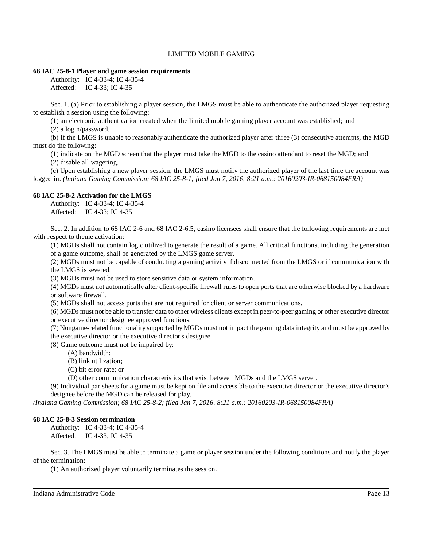### **68 IAC 25-8-1 Player and game session requirements**

Authority: IC 4-33-4; IC 4-35-4 Affected: IC 4-33; IC 4-35

Sec. 1. (a) Prior to establishing a player session, the LMGS must be able to authenticate the authorized player requesting to establish a session using the following:

(1) an electronic authentication created when the limited mobile gaming player account was established; and

(2) a login/password.

(b) If the LMGS is unable to reasonably authenticate the authorized player after three (3) consecutive attempts, the MGD must do the following:

(1) indicate on the MGD screen that the player must take the MGD to the casino attendant to reset the MGD; and

(2) disable all wagering.

(c) Upon establishing a new player session, the LMGS must notify the authorized player of the last time the account was logged in. *(Indiana Gaming Commission; 68 IAC 25-8-1; filed Jan 7, 2016, 8:21 a.m.: 20160203-IR-068150084FRA)*

# **68 IAC 25-8-2 Activation for the LMGS**

Authority: IC 4-33-4; IC 4-35-4 Affected: IC 4-33; IC 4-35

Sec. 2. In addition to 68 IAC 2-6 and 68 IAC 2-6.5, casino licensees shall ensure that the following requirements are met with respect to theme activation:

(1) MGDs shall not contain logic utilized to generate the result of a game. All critical functions, including the generation of a game outcome, shall be generated by the LMGS game server.

(2) MGDs must not be capable of conducting a gaming activity if disconnected from the LMGS or if communication with the LMGS is severed.

(3) MGDs must not be used to store sensitive data or system information.

(4) MGDs must not automatically alter client-specific firewall rules to open ports that are otherwise blocked by a hardware or software firewall.

(5) MGDs shall not access ports that are not required for client or server communications.

(6) MGDs must not be able to transfer data to other wireless clients except in peer-to-peer gaming or other executive director or executive director designee approved functions.

(7) Nongame-related functionality supported by MGDs must not impact the gaming data integrity and must be approved by the executive director or the executive director's designee.

(8) Game outcome must not be impaired by:

- (A) bandwidth;
- (B) link utilization;
- (C) bit error rate; or

(D) other communication characteristics that exist between MGDs and the LMGS server.

(9) Individual par sheets for a game must be kept on file and accessible to the executive director or the executive director's designee before the MGD can be released for play.

*(Indiana Gaming Commission; 68 IAC 25-8-2; filed Jan 7, 2016, 8:21 a.m.: 20160203-IR-068150084FRA)*

### **68 IAC 25-8-3 Session termination**

Authority: IC 4-33-4; IC 4-35-4 Affected: IC 4-33; IC 4-35

Sec. 3. The LMGS must be able to terminate a game or player session under the following conditions and notify the player of the termination:

(1) An authorized player voluntarily terminates the session.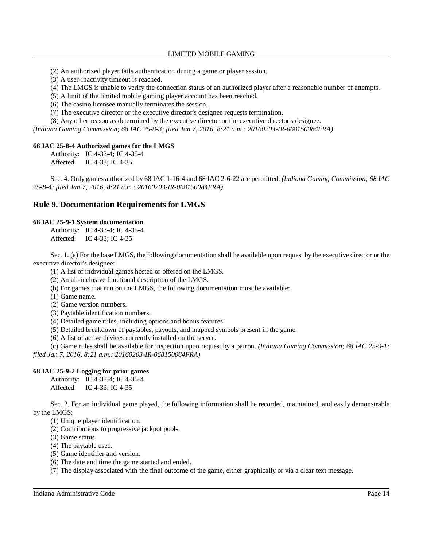(2) An authorized player fails authentication during a game or player session.

(3) A user-inactivity timeout is reached.

(4) The LMGS is unable to verify the connection status of an authorized player after a reasonable number of attempts.

(5) A limit of the limited mobile gaming player account has been reached.

(6) The casino licensee manually terminates the session.

(7) The executive director or the executive director's designee requests termination.

(8) Any other reason as determined by the executive director or the executive director's designee.

*(Indiana Gaming Commission; 68 IAC 25-8-3; filed Jan 7, 2016, 8:21 a.m.: 20160203-IR-068150084FRA)*

### **68 IAC 25-8-4 Authorized games for the LMGS**

Authority: IC 4-33-4; IC 4-35-4 Affected: IC 4-33; IC 4-35

Sec. 4. Only games authorized by 68 IAC 1-16-4 and 68 IAC 2-6-22 are permitted. *(Indiana Gaming Commission; 68 IAC 25-8-4; filed Jan 7, 2016, 8:21 a.m.: 20160203-IR-068150084FRA)*

# **Rule 9. Documentation Requirements for LMGS**

### **68 IAC 25-9-1 System documentation**

Authority: IC 4-33-4; IC 4-35-4 Affected: IC 4-33; IC 4-35

Sec. 1. (a) For the base LMGS, the following documentation shall be available upon request by the executive director or the executive director's designee:

(1) A list of individual games hosted or offered on the LMGS.

(2) An all-inclusive functional description of the LMGS.

(b) For games that run on the LMGS, the following documentation must be available:

(1) Game name.

(2) Game version numbers.

(3) Paytable identification numbers.

(4) Detailed game rules, including options and bonus features.

(5) Detailed breakdown of paytables, payouts, and mapped symbols present in the game.

(6) A list of active devices currently installed on the server.

(c) Game rules shall be available for inspection upon request by a patron. *(Indiana Gaming Commission; 68 IAC 25-9-1; filed Jan 7, 2016, 8:21 a.m.: 20160203-IR-068150084FRA)*

### **68 IAC 25-9-2 Logging for prior games**

Authority: IC 4-33-4; IC 4-35-4 Affected: IC 4-33; IC 4-35

Sec. 2. For an individual game played, the following information shall be recorded, maintained, and easily demonstrable by the LMGS:

(1) Unique player identification.

(2) Contributions to progressive jackpot pools.

(3) Game status.

(4) The paytable used.

(5) Game identifier and version.

(6) The date and time the game started and ended.

(7) The display associated with the final outcome of the game, either graphically or via a clear text message.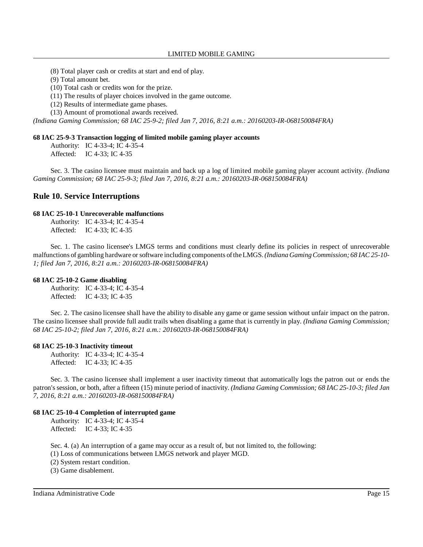LIMITED MOBILE GAMING

(8) Total player cash or credits at start and end of play.

(9) Total amount bet.

(10) Total cash or credits won for the prize.

(11) The results of player choices involved in the game outcome.

(12) Results of intermediate game phases.

(13) Amount of promotional awards received.

*(Indiana Gaming Commission; 68 IAC 25-9-2; filed Jan 7, 2016, 8:21 a.m.: 20160203-IR-068150084FRA)*

#### **68 IAC 25-9-3 Transaction logging of limited mobile gaming player accounts**

Authority: IC 4-33-4; IC 4-35-4 Affected: IC 4-33; IC 4-35

Sec. 3. The casino licensee must maintain and back up a log of limited mobile gaming player account activity. *(Indiana Gaming Commission; 68 IAC 25-9-3; filed Jan 7, 2016, 8:21 a.m.: 20160203-IR-068150084FRA)*

# **Rule 10. Service Interruptions**

#### **68 IAC 25-10-1 Unrecoverable malfunctions**

Authority: IC 4-33-4; IC 4-35-4 Affected: IC 4-33; IC 4-35

Sec. 1. The casino licensee's LMGS terms and conditions must clearly define its policies in respect of unrecoverable malfunctions of gambling hardware orsoftware including components oftheLMGS.*(Indiana GamingCommission; 68 IAC 25-10- 1; filed Jan 7, 2016, 8:21 a.m.: 20160203-IR-068150084FRA)*

#### **68 IAC 25-10-2 Game disabling**

Authority: IC 4-33-4; IC 4-35-4 Affected: IC 4-33; IC 4-35

Sec. 2. The casino licensee shall have the ability to disable any game or game session without unfair impact on the patron. The casino licensee shall provide full audit trails when disabling a game that is currently in play. *(Indiana Gaming Commission; 68 IAC 25-10-2; filed Jan 7, 2016, 8:21 a.m.: 20160203-IR-068150084FRA)*

### **68 IAC 25-10-3 Inactivity timeout**

Authority: IC 4-33-4; IC 4-35-4 Affected: IC 4-33; IC 4-35

Sec. 3. The casino licensee shall implement a user inactivity timeout that automatically logs the patron out or ends the patron's session, or both, after a fifteen (15) minute period of inactivity. *(Indiana Gaming Commission; 68 IAC 25-10-3; filed Jan 7, 2016, 8:21 a.m.: 20160203-IR-068150084FRA)*

### **68 IAC 25-10-4 Completion of interrupted game**

Authority: IC 4-33-4; IC 4-35-4 Affected: IC 4-33; IC 4-35

Sec. 4. (a) An interruption of a game may occur as a result of, but not limited to, the following:

(1) Loss of communications between LMGS network and player MGD.

(2) System restart condition.

(3) Game disablement.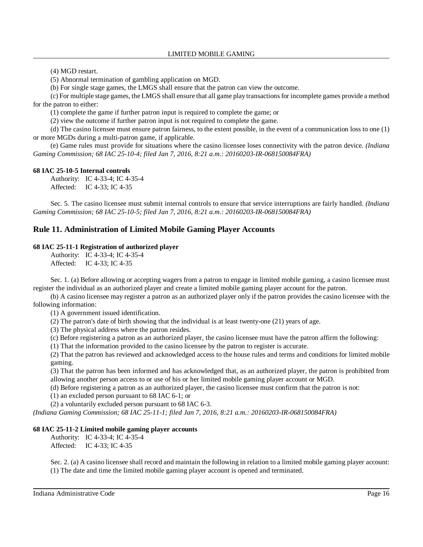(4) MGD restart.

(5) Abnormal termination of gambling application on MGD.

(b) For single stage games, the LMGS shall ensure that the patron can view the outcome.

(c) For multiple stage games, the LMGS shall ensure that all game play transactionsfor incomplete games provide a method for the patron to either:

(1) complete the game if further patron input is required to complete the game; or

(2) view the outcome if further patron input is not required to complete the game.

(d) The casino licensee must ensure patron fairness, to the extent possible, in the event of a communication loss to one (1) or more MGDs during a multi-patron game, if applicable.

(e) Game rules must provide for situations where the casino licensee loses connectivity with the patron device. *(Indiana Gaming Commission; 68 IAC 25-10-4; filed Jan 7, 2016, 8:21 a.m.: 20160203-IR-068150084FRA)*

### **68 IAC 25-10-5 Internal controls**

Authority: IC 4-33-4; IC 4-35-4 Affected: IC 4-33; IC 4-35

Sec. 5. The casino licensee must submit internal controls to ensure that service interruptions are fairly handled. *(Indiana Gaming Commission; 68 IAC 25-10-5; filed Jan 7, 2016, 8:21 a.m.: 20160203-IR-068150084FRA)*

# **Rule 11. Administration of Limited Mobile Gaming Player Accounts**

### **68 IAC 25-11-1 Registration of authorized player**

Authority: IC 4-33-4; IC 4-35-4 Affected: IC 4-33; IC 4-35

Sec. 1. (a) Before allowing or accepting wagers from a patron to engage in limited mobile gaming, a casino licensee must register the individual as an authorized player and create a limited mobile gaming player account for the patron.

(b) A casino licensee may register a patron as an authorized player only if the patron provides the casino licensee with the following information:

(1) A government issued identification.

(2) The patron's date of birth showing that the individual is at least twenty-one (21) years of age.

(3) The physical address where the patron resides.

(c) Before registering a patron as an authorized player, the casino licensee must have the patron affirm the following:

(1) That the information provided to the casino licensee by the patron to register is accurate.

(2) That the patron has reviewed and acknowledged access to the house rules and terms and conditions for limited mobile gaming.

(3) That the patron has been informed and has acknowledged that, as an authorized player, the patron is prohibited from allowing another person access to or use of his or her limited mobile gaming player account or MGD.

(d) Before registering a patron as an authorized player, the casino licensee must confirm that the patron is not:

(1) an excluded person pursuant to 68 IAC 6-1; or

(2) a voluntarily excluded person pursuant to 68 IAC 6-3.

*(Indiana Gaming Commission; 68 IAC 25-11-1; filed Jan 7, 2016, 8:21 a.m.: 20160203-IR-068150084FRA)*

### **68 IAC 25-11-2 Limited mobile gaming player accounts**

Authority: IC 4-33-4; IC 4-35-4 Affected: IC 4-33; IC 4-35

Sec. 2. (a) A casino licensee shall record and maintain the following in relation to a limited mobile gaming player account: (1) The date and time the limited mobile gaming player account is opened and terminated.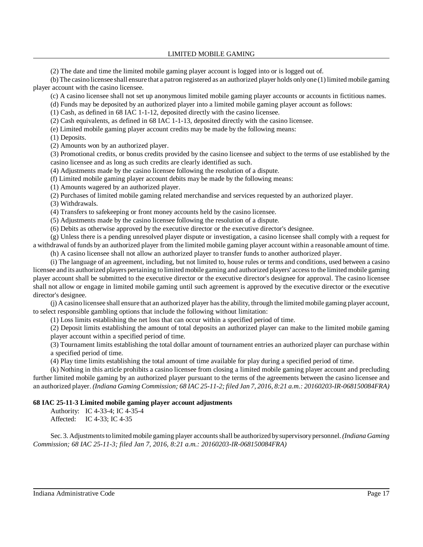LIMITED MOBILE GAMING

(2) The date and time the limited mobile gaming player account is logged into or is logged out of.

(b) The casino licensee shall ensure that a patron registered as an authorized player holds onlyone (1) limited mobile gaming player account with the casino licensee.

(c) A casino licensee shall not set up anonymous limited mobile gaming player accounts or accounts in fictitious names.

(d) Funds may be deposited by an authorized player into a limited mobile gaming player account as follows:

(1) Cash, as defined in 68 IAC 1-1-12, deposited directly with the casino licensee.

(2) Cash equivalents, as defined in 68 IAC 1-1-13, deposited directly with the casino licensee.

(e) Limited mobile gaming player account credits may be made by the following means:

(1) Deposits.

(2) Amounts won by an authorized player.

(3) Promotional credits, or bonus credits provided by the casino licensee and subject to the terms of use established by the casino licensee and as long as such credits are clearly identified as such.

(4) Adjustments made by the casino licensee following the resolution of a dispute.

(f) Limited mobile gaming player account debits may be made by the following means:

(1) Amounts wagered by an authorized player.

(2) Purchases of limited mobile gaming related merchandise and services requested by an authorized player.

(3) Withdrawals.

(4) Transfers to safekeeping or front money accounts held by the casino licensee.

(5) Adjustments made by the casino licensee following the resolution of a dispute.

(6) Debits as otherwise approved by the executive director or the executive director's designee.

(g) Unless there is a pending unresolved player dispute or investigation, a casino licensee shall comply with a request for a withdrawal of funds by an authorized player from the limited mobile gaming player account within a reasonable amount of time.

(h) A casino licensee shall not allow an authorized player to transfer funds to another authorized player.

(i) The language of an agreement, including, but not limited to, house rules or terms and conditions, used between a casino licensee and its authorized players pertaining to limitedmobile gaming and authorized players' accessto the limited mobile gaming player account shall be submitted to the executive director or the executive director's designee for approval. The casino licensee shall not allow or engage in limited mobile gaming until such agreement is approved by the executive director or the executive director's designee.

(j) A casino licensee shall ensure that an authorized player hasthe ability, through the limited mobile gaming player account, to select responsible gambling options that include the following without limitation:

(1) Loss limits establishing the net loss that can occur within a specified period of time.

(2) Deposit limits establishing the amount of total deposits an authorized player can make to the limited mobile gaming player account within a specified period of time.

(3) Tournament limits establishing the total dollar amount of tournament entries an authorized player can purchase within a specified period of time.

(4) Play time limits establishing the total amount of time available for play during a specified period of time.

(k) Nothing in this article prohibits a casino licensee from closing a limited mobile gaming player account and precluding further limited mobile gaming by an authorized player pursuant to the terms of the agreements between the casino licensee and an authorized player. *(Indiana Gaming Commission; 68 IAC 25-11-2; filed Jan 7, 2016, 8:21 a.m.: 20160203-IR-068150084FRA)*

# **68 IAC 25-11-3 Limited mobile gaming player account adjustments**

Authority: IC 4-33-4; IC 4-35-4

Affected: IC 4-33; IC 4-35

Sec. 3. Adjustmentstolimitedmobile gaming player accountsshall be authorized bysupervisorypersonnel.*(Indiana Gaming Commission; 68 IAC 25-11-3; filed Jan 7, 2016, 8:21 a.m.: 20160203-IR-068150084FRA)*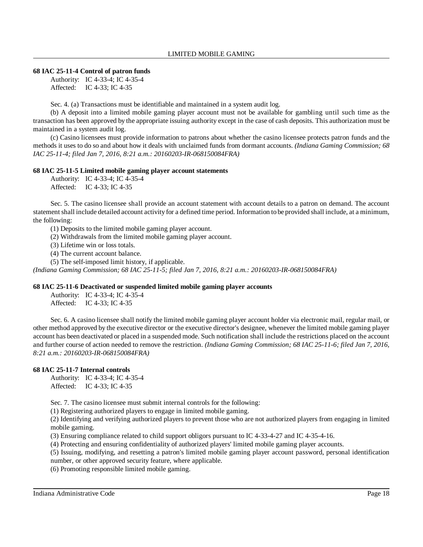### **68 IAC 25-11-4 Control of patron funds**

Authority: IC 4-33-4; IC 4-35-4 Affected: IC 4-33; IC 4-35

Sec. 4. (a) Transactions must be identifiable and maintained in a system audit log.

(b) A deposit into a limited mobile gaming player account must not be available for gambling until such time as the transaction has been approved by the appropriate issuing authority except in the case of cash deposits. This authorization must be maintained in a system audit log.

(c) Casino licensees must provide information to patrons about whether the casino licensee protects patron funds and the methods it uses to do so and about how it deals with unclaimed funds from dormant accounts. *(Indiana Gaming Commission; 68 IAC 25-11-4; filed Jan 7, 2016, 8:21 a.m.: 20160203-IR-068150084FRA)*

### **68 IAC 25-11-5 Limited mobile gaming player account statements**

Authority: IC 4-33-4; IC 4-35-4 Affected: IC 4-33; IC 4-35

Sec. 5. The casino licensee shall provide an account statement with account details to a patron on demand. The account statement shall include detailed account activity for a defined time period. Information to be provided shall include, at a minimum, the following:

(1) Deposits to the limited mobile gaming player account.

(2) Withdrawals from the limited mobile gaming player account.

(3) Lifetime win or loss totals.

(4) The current account balance.

(5) The self-imposed limit history, if applicable.

*(Indiana Gaming Commission; 68 IAC 25-11-5; filed Jan 7, 2016, 8:21 a.m.: 20160203-IR-068150084FRA)*

### **68 IAC 25-11-6 Deactivated or suspended limited mobile gaming player accounts**

Authority: IC 4-33-4; IC 4-35-4 Affected: IC 4-33; IC 4-35

Sec. 6. A casino licensee shall notify the limited mobile gaming player account holder via electronic mail, regular mail, or other method approved by the executive director or the executive director's designee, whenever the limited mobile gaming player account has been deactivated or placed in a suspended mode. Such notification shall include the restrictions placed on the account and further course of action needed to remove the restriction. *(Indiana Gaming Commission; 68 IAC 25-11-6; filed Jan 7, 2016, 8:21 a.m.: 20160203-IR-068150084FRA)*

### **68 IAC 25-11-7 Internal controls**

Authority: IC 4-33-4; IC 4-35-4 Affected: IC 4-33; IC 4-35

Sec. 7. The casino licensee must submit internal controls for the following:

(1) Registering authorized players to engage in limited mobile gaming.

(2) Identifying and verifying authorized players to prevent those who are not authorized players from engaging in limited mobile gaming.

(3) Ensuring compliance related to child support obligors pursuant to IC 4-33-4-27 and IC 4-35-4-16.

(4) Protecting and ensuring confidentiality of authorized players' limited mobile gaming player accounts.

(5) Issuing, modifying, and resetting a patron's limited mobile gaming player account password, personal identification number, or other approved security feature, where applicable.

(6) Promoting responsible limited mobile gaming.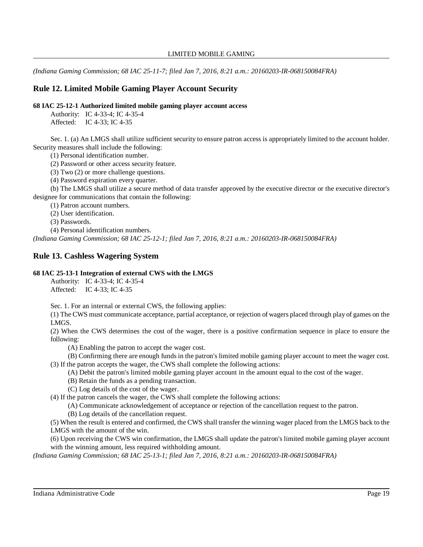*(Indiana Gaming Commission; 68 IAC 25-11-7; filed Jan 7, 2016, 8:21 a.m.: 20160203-IR-068150084FRA)*

# **Rule 12. Limited Mobile Gaming Player Account Security**

### **68 IAC 25-12-1 Authorized limited mobile gaming player account access**

Authority: IC 4-33-4; IC 4-35-4

Affected: IC 4-33; IC 4-35

Sec. 1. (a) An LMGS shall utilize sufficient security to ensure patron access is appropriately limited to the account holder. Security measures shall include the following:

(1) Personal identification number.

(2) Password or other access security feature.

(3) Two (2) or more challenge questions.

(4) Password expiration every quarter.

(b) The LMGS shall utilize a secure method of data transfer approved by the executive director or the executive director's designee for communications that contain the following:

(1) Patron account numbers.

(2) User identification.

(3) Passwords.

(4) Personal identification numbers.

*(Indiana Gaming Commission; 68 IAC 25-12-1; filed Jan 7, 2016, 8:21 a.m.: 20160203-IR-068150084FRA)*

# **Rule 13. Cashless Wagering System**

# **68 IAC 25-13-1 Integration of external CWS with the LMGS**

Authority: IC 4-33-4; IC 4-35-4 Affected: IC 4-33; IC 4-35

Sec. 1. For an internal or external CWS, the following applies:

(1) The CWS must communicate acceptance, partial acceptance, or rejection of wagers placed through play of games on the LMGS.

(2) When the CWS determines the cost of the wager, there is a positive confirmation sequence in place to ensure the following:

(A) Enabling the patron to accept the wager cost.

(B) Confirming there are enough funds in the patron's limited mobile gaming player account to meet the wager cost. (3) If the patron accepts the wager, the CWS shall complete the following actions:

- (A) Debit the patron's limited mobile gaming player account in the amount equal to the cost of the wager.
- (B) Retain the funds as a pending transaction.
- (C) Log details of the cost of the wager.

(4) If the patron cancels the wager, the CWS shall complete the following actions:

(A) Communicate acknowledgement of acceptance or rejection of the cancellation request to the patron.

(B) Log details of the cancellation request.

(5) When the result is entered and confirmed, the CWS shall transfer the winning wager placed from the LMGS back to the LMGS with the amount of the win.

(6) Upon receiving the CWS win confirmation, the LMGS shall update the patron's limited mobile gaming player account with the winning amount, less required withholding amount.

*(Indiana Gaming Commission; 68 IAC 25-13-1; filed Jan 7, 2016, 8:21 a.m.: 20160203-IR-068150084FRA)*